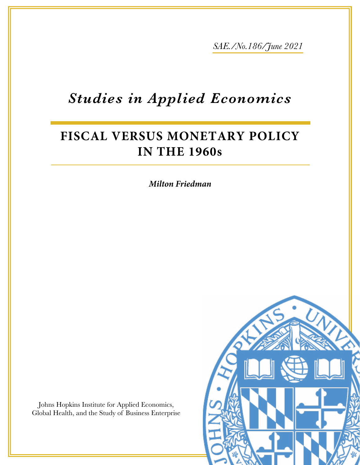*SAE./No.186/June 2021*

# *Studies in Applied Economics*

## **FISCAL VERSUS MONETARY POLICY IN THE 1960s**

*Milton Friedman*

Johns Hopkins Institute for Applied Economics, Global Health, and the Study of Business Enterprise

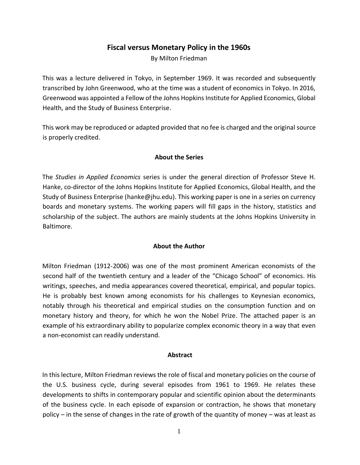## **Fiscal versus Monetary Policy in the 1960s**

By Milton Friedman

This was a lecture delivered in Tokyo, in September 1969. It was recorded and subsequently transcribed by John Greenwood, who at the time was a student of economics in Tokyo. In 2016, Greenwood was appointed a Fellow of the Johns Hopkins Institute for Applied Economics, Global Health, and the Study of Business Enterprise.

This work may be reproduced or adapted provided that no fee is charged and the original source is properly credited.

#### **About the Series**

The *Studies in Applied Economics* series is under the general direction of Professor Steve H. Hanke, co-director of the Johns Hopkins Institute for Applied Economics, Global Health, and the Study of Business Enterprise [\(hanke@jhu.edu\)](mailto:hanke@jhu.edu). This working paper is one in a series on currency boards and monetary systems. The working papers will fill gaps in the history, statistics and scholarship of the subject. The authors are mainly students at the Johns Hopkins University in Baltimore.

#### **About the Author**

Milton Friedman (1912-2006) was one of the most prominent American economists of the second half of the twentieth century and a leader of the "Chicago School" of economics. His writings, speeches, and media appearances covered theoretical, empirical, and popular topics. He is probably best known among economists for his challenges to Keynesian economics, notably through his theoretical and empirical studies on the consumption function and on monetary history and theory, for which he won the Nobel Prize. The attached paper is an example of his extraordinary ability to popularize complex economic theory in a way that even a non-economist can readily understand.

#### **Abstract**

In this lecture, Milton Friedman reviews the role of fiscal and monetary policies on the course of the U.S. business cycle, during several episodes from 1961 to 1969. He relates these developments to shifts in contemporary popular and scientific opinion about the determinants of the business cycle. In each episode of expansion or contraction, he shows that monetary policy – in the sense of changes in the rate of growth of the quantity of money – was at least as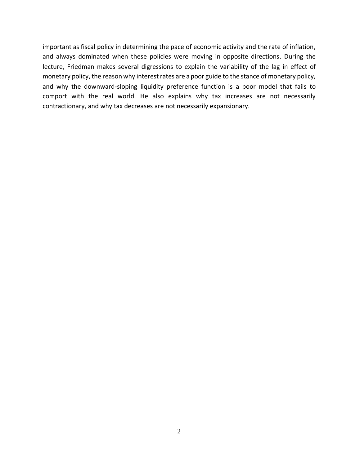important as fiscal policy in determining the pace of economic activity and the rate of inflation, and always dominated when these policies were moving in opposite directions. During the lecture, Friedman makes several digressions to explain the variability of the lag in effect of monetary policy, the reason why interest rates are a poor guide to the stance of monetary policy, and why the downward-sloping liquidity preference function is a poor model that fails to comport with the real world. He also explains why tax increases are not necessarily contractionary, and why tax decreases are not necessarily expansionary.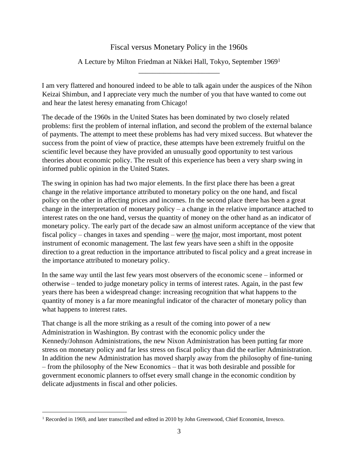## Fiscal versus Monetary Policy in the 1960s

### A Lecture by Milton Friedman at Nikkei Hall, Tokyo, September 1969<sup>1</sup> \_\_\_\_\_\_\_\_\_\_\_\_\_\_\_\_\_\_\_\_\_\_\_

I am very flattered and honoured indeed to be able to talk again under the auspices of the Nihon Keizai Shimbun, and I appreciate very much the number of you that have wanted to come out and hear the latest heresy emanating from Chicago!

The decade of the 1960s in the United States has been dominated by two closely related problems: first the problem of internal inflation, and second the problem of the external balance of payments. The attempt to meet these problems has had very mixed success. But whatever the success from the point of view of practice, these attempts have been extremely fruitful on the scientific level because they have provided an unusually good opportunity to test various theories about economic policy. The result of this experience has been a very sharp swing in informed public opinion in the United States.

The swing in opinion has had two major elements. In the first place there has been a great change in the relative importance attributed to monetary policy on the one hand, and fiscal policy on the other in affecting prices and incomes. In the second place there has been a great change in the interpretation of monetary policy – a change in the relative importance attached to interest rates on the one hand, versus the quantity of money on the other hand as an indicator of monetary policy. The early part of the decade saw an almost uniform acceptance of the view that fiscal policy – changes in taxes and spending – were the major, most important, most potent instrument of economic management. The last few years have seen a shift in the opposite direction to a great reduction in the importance attributed to fiscal policy and a great increase in the importance attributed to monetary policy.

In the same way until the last few years most observers of the economic scene – informed or otherwise – tended to judge monetary policy in terms of interest rates. Again, in the past few years there has been a widespread change: increasing recognition that what happens to the quantity of money is a far more meaningful indicator of the character of monetary policy than what happens to interest rates.

That change is all the more striking as a result of the coming into power of a new Administration in Washington. By contrast with the economic policy under the Kennedy/Johnson Administrations, the new Nixon Administration has been putting far more stress on monetary policy and far less stress on fiscal policy than did the earlier Administration. In addition the new Administration has moved sharply away from the philosophy of fine-tuning – from the philosophy of the New Economics – that it was both desirable and possible for government economic planners to offset every small change in the economic condition by delicate adjustments in fiscal and other policies.

<sup>&</sup>lt;sup>1</sup> Recorded in 1969, and later transcribed and edited in 2010 by John Greenwood, Chief Economist, Invesco.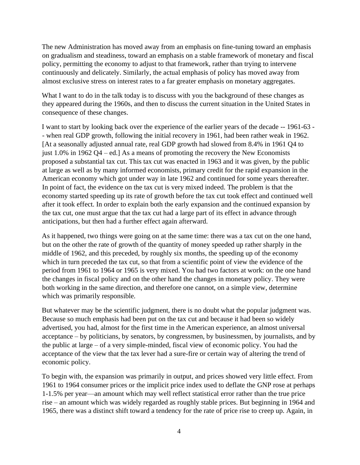The new Administration has moved away from an emphasis on fine-tuning toward an emphasis on gradualism and steadiness, toward an emphasis on a stable framework of monetary and fiscal policy, permitting the economy to adjust to that framework, rather than trying to intervene continuously and delicately. Similarly, the actual emphasis of policy has moved away from almost exclusive stress on interest rates to a far greater emphasis on monetary aggregates.

What I want to do in the talk today is to discuss with you the background of these changes as they appeared during the 1960s, and then to discuss the current situation in the United States in consequence of these changes.

I want to start by looking back over the experience of the earlier years of the decade -- 1961-63 - - when real GDP growth, following the initial recovery in 1961, had been rather weak in 1962. [At a seasonally adjusted annual rate, real GDP growth had slowed from 8.4% in 1961 Q4 to just 1.0% in 1962 Q4 – ed.] As a means of promoting the recovery the New Economists proposed a substantial tax cut. This tax cut was enacted in 1963 and it was given, by the public at large as well as by many informed economists, primary credit for the rapid expansion in the American economy which got under way in late 1962 and continued for some years thereafter. In point of fact, the evidence on the tax cut is very mixed indeed. The problem is that the economy started speeding up its rate of growth before the tax cut took effect and continued well after it took effect. In order to explain both the early expansion and the continued expansion by the tax cut, one must argue that the tax cut had a large part of its effect in advance through anticipations, but then had a further effect again afterward.

As it happened, two things were going on at the same time: there was a tax cut on the one hand, but on the other the rate of growth of the quantity of money speeded up rather sharply in the middle of 1962, and this preceded, by roughly six months, the speeding up of the economy which in turn preceded the tax cut, so that from a scientific point of view the evidence of the period from 1961 to 1964 or 1965 is very mixed. You had two factors at work: on the one hand the changes in fiscal policy and on the other hand the changes in monetary policy. They were both working in the same direction, and therefore one cannot, on a simple view, determine which was primarily responsible.

But whatever may be the scientific judgment, there is no doubt what the popular judgment was. Because so much emphasis had been put on the tax cut and because it had been so widely advertised, you had, almost for the first time in the American experience, an almost universal acceptance – by politicians, by senators, by congressmen, by businessmen, by journalists, and by the public at large – of a very simple-minded, fiscal view of economic policy. You had the acceptance of the view that the tax lever had a sure-fire or certain way of altering the trend of economic policy.

To begin with, the expansion was primarily in output, and prices showed very little effect. From 1961 to 1964 consumer prices or the implicit price index used to deflate the GNP rose at perhaps 1-1.5% per year—an amount which may well reflect statistical error rather than the true price rise – an amount which was widely regarded as roughly stable prices. But beginning in 1964 and 1965, there was a distinct shift toward a tendency for the rate of price rise to creep up. Again, in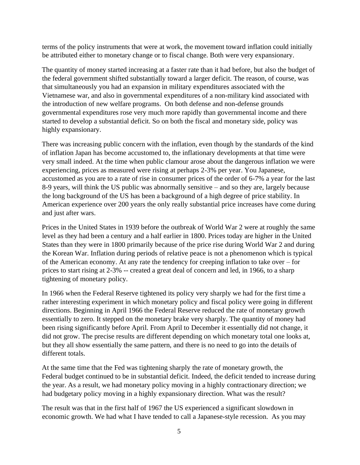terms of the policy instruments that were at work, the movement toward inflation could initially be attributed either to monetary change or to fiscal change. Both were very expansionary.

The quantity of money started increasing at a faster rate than it had before, but also the budget of the federal government shifted substantially toward a larger deficit. The reason, of course, was that simultaneously you had an expansion in military expenditures associated with the Vietnamese war, and also in governmental expenditures of a non-military kind associated with the introduction of new welfare programs. On both defense and non-defense grounds governmental expenditures rose very much more rapidly than governmental income and there started to develop a substantial deficit. So on both the fiscal and monetary side, policy was highly expansionary.

There was increasing public concern with the inflation, even though by the standards of the kind of inflation Japan has become accustomed to, the inflationary developments at that time were very small indeed. At the time when public clamour arose about the dangerous inflation we were experiencing, prices as measured were rising at perhaps 2-3% per year. You Japanese, accustomed as you are to a rate of rise in consumer prices of the order of 6-7% a year for the last 8-9 years, will think the US public was abnormally sensitive – and so they are, largely because the long background of the US has been a background of a high degree of price stability. In American experience over 200 years the only really substantial price increases have come during and just after wars.

Prices in the United States in 1939 before the outbreak of World War 2 were at roughly the same level as they had been a century and a half earlier in 1800. Prices today are higher in the United States than they were in 1800 primarily because of the price rise during World War 2 and during the Korean War. Inflation during periods of relative peace is not a phenomenon which is typical of the American economy. At any rate the tendency for creeping inflation to take over – for prices to start rising at 2-3% -- created a great deal of concern and led, in 1966, to a sharp tightening of monetary policy.

In 1966 when the Federal Reserve tightened its policy very sharply we had for the first time a rather interesting experiment in which monetary policy and fiscal policy were going in different directions. Beginning in April 1966 the Federal Reserve reduced the rate of monetary growth essentially to zero. It stepped on the monetary brake very sharply. The quantity of money had been rising significantly before April. From April to December it essentially did not change, it did not grow. The precise results are different depending on which monetary total one looks at, but they all show essentially the same pattern, and there is no need to go into the details of different totals.

At the same time that the Fed was tightening sharply the rate of monetary growth, the Federal budget continued to be in substantial deficit. Indeed, the deficit tended to increase during the year. As a result, we had monetary policy moving in a highly contractionary direction; we had budgetary policy moving in a highly expansionary direction. What was the result?

The result was that in the first half of 1967 the US experienced a significant slowdown in economic growth. We had what I have tended to call a Japanese-style recession. As you may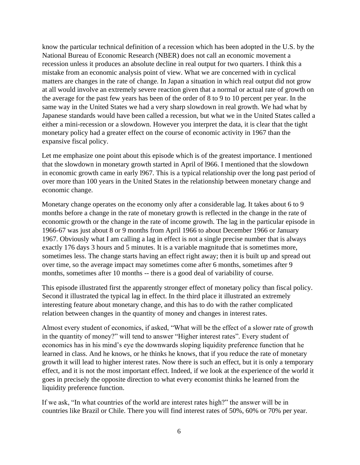know the particular technical definition of a recession which has been adopted in the U.S. by the National Bureau of Economic Research (NBER) does not call an economic movement a recession unless it produces an absolute decline in real output for two quarters. I think this a mistake from an economic analysis point of view. What we are concerned with in cyclical matters are changes in the rate of change. In Japan a situation in which real output did not grow at all would involve an extremely severe reaction given that a normal or actual rate of growth on the average for the past few years has been of the order of 8 to 9 to 10 percent per year. In the same way in the United States we had a very sharp slowdown in real growth. We had what by Japanese standards would have been called a recession, but what we in the United States called a either a mini-recession or a slowdown. However you interpret the data, it is clear that the tight monetary policy had a greater effect on the course of economic activity in 1967 than the expansive fiscal policy.

Let me emphasize one point about this episode which is of the greatest importance. I mentioned that the slowdown in monetary growth started in April of l966. I mentioned that the slowdown in economic growth came in early l967. This is a typical relationship over the long past period of over more than 100 years in the United States in the relationship between monetary change and economic change.

Monetary change operates on the economy only after a considerable lag. It takes about 6 to 9 months before a change in the rate of monetary growth is reflected in the change in the rate of economic growth or the change in the rate of income growth. The lag in the particular episode in 1966-67 was just about 8 or 9 months from April 1966 to about December 1966 or January 1967. Obviously what I am calling a lag in effect is not a single precise number that is always exactly 176 days 3 hours and 5 minutes. It is a variable magnitude that is sometimes more, sometimes less. The change starts having an effect right away; then it is built up and spread out over time, so the average impact may sometimes come after 6 months, sometimes after 9 months, sometimes after 10 months -- there is a good deal of variability of course.

This episode illustrated first the apparently stronger effect of monetary policy than fiscal policy. Second it illustrated the typical lag in effect. In the third place it illustrated an extremely interesting feature about monetary change, and this has to do with the rather complicated relation between changes in the quantity of money and changes in interest rates.

Almost every student of economics, if asked, "What will be the effect of a slower rate of growth in the quantity of money?" will tend to answer "Higher interest rates". Every student of economics has in his mind's eye the downwards sloping liquidity preference function that he learned in class. And he knows, or he thinks he knows, that if you reduce the rate of monetary growth it will lead to higher interest rates. Now there is such an effect, but it is only a temporary effect, and it is not the most important effect. Indeed, if we look at the experience of the world it goes in precisely the opposite direction to what every economist thinks he learned from the liquidity preference function.

If we ask, "In what countries of the world are interest rates high?" the answer will be in countries like Brazil or Chile. There you will find interest rates of 50%, 60% or 70% per year.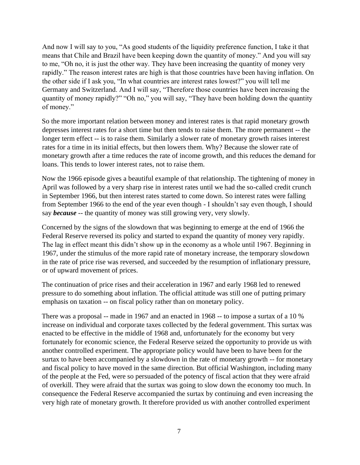And now I will say to you, "As good students of the liquidity preference function, I take it that means that Chile and Brazil have been keeping down the quantity of money." And you will say to me, "Oh no, it is just the other way. They have been increasing the quantity of money very rapidly." The reason interest rates are high is that those countries have been having inflation. On the other side if I ask you, "In what countries are interest rates lowest?" you will tell me Germany and Switzerland. And I will say, "Therefore those countries have been increasing the quantity of money rapidly?" "Oh no," you will say, "They have been holding down the quantity of money."

So the more important relation between money and interest rates is that rapid monetary growth depresses interest rates for a short time but then tends to raise them. The more permanent -- the longer term effect -- is to raise them. Similarly a slower rate of monetary growth raises interest rates for a time in its initial effects, but then lowers them. Why? Because the slower rate of monetary growth after a time reduces the rate of income growth, and this reduces the demand for loans. This tends to lower interest rates, not to raise them.

Now the 1966 episode gives a beautiful example of that relationship. The tightening of money in April was followed by a very sharp rise in interest rates until we had the so-called credit crunch in September 1966, but then interest rates started to come down. So interest rates were falling from September 1966 to the end of the year even though - I shouldn't say even though, I should say *because* -- the quantity of money was still growing very, very slowly.

Concerned by the signs of the slowdown that was beginning to emerge at the end of 1966 the Federal Reserve reversed its policy and started to expand the quantity of money very rapidly. The lag in effect meant this didn't show up in the economy as a whole until 1967. Beginning in 1967, under the stimulus of the more rapid rate of monetary increase, the temporary slowdown in the rate of price rise was reversed, and succeeded by the resumption of inflationary pressure, or of upward movement of prices.

The continuation of price rises and their acceleration in 1967 and early 1968 led to renewed pressure to do something about inflation. The official attitude was still one of putting primary emphasis on taxation -- on fiscal policy rather than on monetary policy.

There was a proposal -- made in 1967 and an enacted in 1968 -- to impose a surtax of a 10 % increase on individual and corporate taxes collected by the federal government. This surtax was enacted to be effective in the middle of 1968 and, unfortunately for the economy but very fortunately for economic science, the Federal Reserve seized the opportunity to provide us with another controlled experiment. The appropriate policy would have been to have been for the surtax to have been accompanied by a slowdown in the rate of monetary growth -- for monetary and fiscal policy to have moved in the same direction. But official Washington, including many of the people at the Fed, were so persuaded of the potency of fiscal action that they were afraid of overkill. They were afraid that the surtax was going to slow down the economy too much. In consequence the Federal Reserve accompanied the surtax by continuing and even increasing the very high rate of monetary growth. It therefore provided us with another controlled experiment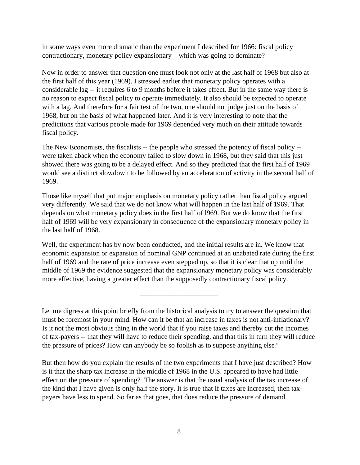in some ways even more dramatic than the experiment I described for 1966: fiscal policy contractionary, monetary policy expansionary – which was going to dominate?

Now in order to answer that question one must look not only at the last half of 1968 but also at the first half of this year (1969). I stressed earlier that monetary policy operates with a considerable lag -- it requires 6 to 9 months before it takes effect. But in the same way there is no reason to expect fiscal policy to operate immediately. It also should be expected to operate with a lag. And therefore for a fair test of the two, one should not judge just on the basis of 1968, but on the basis of what happened later. And it is very interesting to note that the predictions that various people made for 1969 depended very much on their attitude towards fiscal policy.

The New Economists, the fiscalists -- the people who stressed the potency of fiscal policy - were taken aback when the economy failed to slow down in 1968, but they said that this just showed there was going to be a delayed effect. And so they predicted that the first half of 1969 would see a distinct slowdown to be followed by an acceleration of activity in the second half of 1969.

Those like myself that put major emphasis on monetary policy rather than fiscal policy argued very differently. We said that we do not know what will happen in the last half of 1969. That depends on what monetary policy does in the first half of l969. But we do know that the first half of 1969 will be very expansionary in consequence of the expansionary monetary policy in the last half of 1968.

Well, the experiment has by now been conducted, and the initial results are in. We know that economic expansion or expansion of nominal GNP continued at an unabated rate during the first half of 1969 and the rate of price increase even stepped up, so that it is clear that up until the middle of 1969 the evidence suggested that the expansionary monetary policy was considerably more effective, having a greater effect than the supposedly contractionary fiscal policy.

\_\_\_\_\_\_\_\_\_\_\_\_\_\_\_\_\_\_\_\_\_\_

Let me digress at this point briefly from the historical analysis to try to answer the question that must be foremost in your mind. How can it be that an increase in taxes is not anti-inflationary? Is it not the most obvious thing in the world that if you raise taxes and thereby cut the incomes of tax-payers -- that they will have to reduce their spending, and that this in turn they will reduce the pressure of prices? How can anybody be so foolish as to suppose anything else?

But then how do you explain the results of the two experiments that I have just described? How is it that the sharp tax increase in the middle of 1968 in the U.S. appeared to have had little effect on the pressure of spending? The answer is that the usual analysis of the tax increase of the kind that I have given is only half the story. It is true that if taxes are increased, then taxpayers have less to spend. So far as that goes, that does reduce the pressure of demand.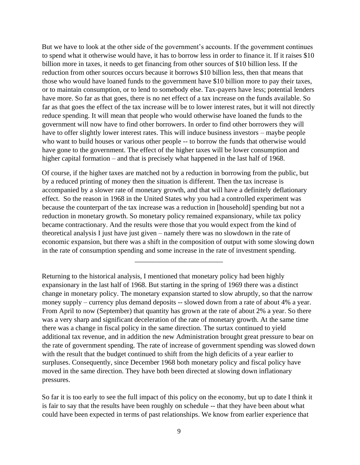But we have to look at the other side of the government's accounts. If the government continues to spend what it otherwise would have, it has to borrow less in order to finance it. If it raises \$10 billion more in taxes, it needs to get financing from other sources of \$10 billion less. If the reduction from other sources occurs because it borrows \$10 billion less, then that means that those who would have loaned funds to the government have \$10 billion more to pay their taxes, or to maintain consumption, or to lend to somebody else. Tax-payers have less; potential lenders have more. So far as that goes, there is no net effect of a tax increase on the funds available. So far as that goes the effect of the tax increase will be to lower interest rates, but it will not directly reduce spending. It will mean that people who would otherwise have loaned the funds to the government will now have to find other borrowers. In order to find other borrowers they will have to offer slightly lower interest rates. This will induce business investors – maybe people who want to build houses or various other people -- to borrow the funds that otherwise would have gone to the government. The effect of the higher taxes will be lower consumption and higher capital formation – and that is precisely what happened in the last half of 1968.

Of course, if the higher taxes are matched not by a reduction in borrowing from the public, but by a reduced printing of money then the situation is different. Then the tax increase is accompanied by a slower rate of monetary growth, and that will have a definitely deflationary effect. So the reason in 1968 in the United States why you had a controlled experiment was because the counterpart of the tax increase was a reduction in [household] spending but not a reduction in monetary growth. So monetary policy remained expansionary, while tax policy became contractionary. And the results were those that you would expect from the kind of theoretical analysis I just have just given – namely there was no slowdown in the rate of economic expansion, but there was a shift in the composition of output with some slowing down in the rate of consumption spending and some increase in the rate of investment spending.

\_\_\_\_\_\_\_\_\_\_\_\_\_\_\_\_\_\_\_\_\_\_\_\_\_

Returning to the historical analysis, I mentioned that monetary policy had been highly expansionary in the last half of 1968. But starting in the spring of 1969 there was a distinct change in monetary policy. The monetary expansion started to slow abruptly, so that the narrow money supply – currency plus demand deposits -- slowed down from a rate of about 4% a year. From April to now (September) that quantity has grown at the rate of about 2% a year. So there was a very sharp and significant deceleration of the rate of monetary growth. At the same time there was a change in fiscal policy in the same direction. The surtax continued to yield additional tax revenue, and in addition the new Administration brought great pressure to bear on the rate of government spending. The rate of increase of government spending was slowed down with the result that the budget continued to shift from the high deficits of a year earlier to surpluses. Consequently, since December 1968 both monetary policy and fiscal policy have moved in the same direction. They have both been directed at slowing down inflationary pressures.

So far it is too early to see the full impact of this policy on the economy, but up to date I think it is fair to say that the results have been roughly on schedule -- that they have been about what could have been expected in terms of past relationships. We know from earlier experience that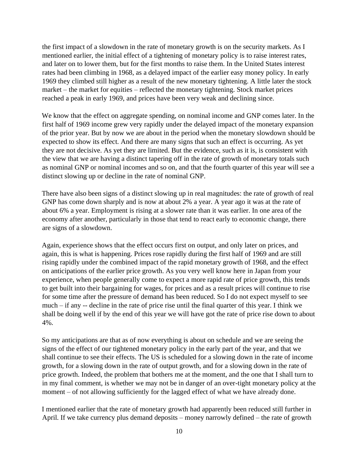the first impact of a slowdown in the rate of monetary growth is on the security markets. As I mentioned earlier, the initial effect of a tightening of monetary policy is to raise interest rates, and later on to lower them, but for the first months to raise them. In the United States interest rates had been climbing in 1968, as a delayed impact of the earlier easy money policy. In early 1969 they climbed still higher as a result of the new monetary tightening. A little later the stock market – the market for equities – reflected the monetary tightening. Stock market prices reached a peak in early 1969, and prices have been very weak and declining since.

We know that the effect on aggregate spending, on nominal income and GNP comes later. In the first half of 1969 income grew very rapidly under the delayed impact of the monetary expansion of the prior year. But by now we are about in the period when the monetary slowdown should be expected to show its effect. And there are many signs that such an effect is occurring. As yet they are not decisive. As yet they are limited. But the evidence, such as it is, is consistent with the view that we are having a distinct tapering off in the rate of growth of monetary totals such as nominal GNP or nominal incomes and so on, and that the fourth quarter of this year will see a distinct slowing up or decline in the rate of nominal GNP.

There have also been signs of a distinct slowing up in real magnitudes: the rate of growth of real GNP has come down sharply and is now at about 2% a year. A year ago it was at the rate of about 6% a year. Employment is rising at a slower rate than it was earlier. In one area of the economy after another, particularly in those that tend to react early to economic change, there are signs of a slowdown.

Again, experience shows that the effect occurs first on output, and only later on prices, and again, this is what is happening. Prices rose rapidly during the first half of 1969 and are still rising rapidly under the combined impact of the rapid monetary growth of 1968, and the effect on anticipations of the earlier price growth. As you very well know here in Japan from your experience, when people generally come to expect a more rapid rate of price growth, this tends to get built into their bargaining for wages, for prices and as a result prices will continue to rise for some time after the pressure of demand has been reduced. So I do not expect myself to see much – if any -- decline in the rate of price rise until the final quarter of this year. I think we shall be doing well if by the end of this year we will have got the rate of price rise down to about 4%.

So my anticipations are that as of now everything is about on schedule and we are seeing the signs of the effect of our tightened monetary policy in the early part of the year, and that we shall continue to see their effects. The US is scheduled for a slowing down in the rate of income growth, for a slowing down in the rate of output growth, and for a slowing down in the rate of price growth. Indeed, the problem that bothers me at the moment, and the one that I shall turn to in my final comment, is whether we may not be in danger of an over-tight monetary policy at the moment – of not allowing sufficiently for the lagged effect of what we have already done.

I mentioned earlier that the rate of monetary growth had apparently been reduced still further in April. If we take currency plus demand deposits – money narrowly defined – the rate of growth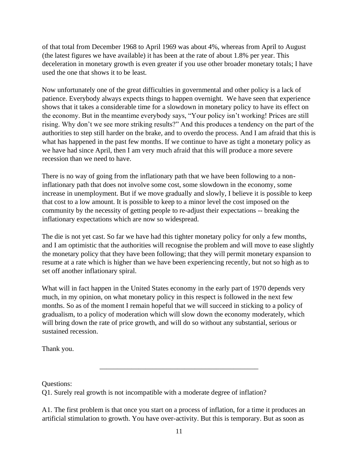of that total from December 1968 to April 1969 was about 4%, whereas from April to August (the latest figures we have available) it has been at the rate of about 1.8% per year. This deceleration in monetary growth is even greater if you use other broader monetary totals; I have used the one that shows it to be least.

Now unfortunately one of the great difficulties in governmental and other policy is a lack of patience. Everybody always expects things to happen overnight. We have seen that experience shows that it takes a considerable time for a slowdown in monetary policy to have its effect on the economy. But in the meantime everybody says, "Your policy isn't working! Prices are still rising. Why don't we see more striking results?" And this produces a tendency on the part of the authorities to step still harder on the brake, and to overdo the process. And I am afraid that this is what has happened in the past few months. If we continue to have as tight a monetary policy as we have had since April, then I am very much afraid that this will produce a more severe recession than we need to have.

There is no way of going from the inflationary path that we have been following to a noninflationary path that does not involve some cost, some slowdown in the economy, some increase in unemployment. But if we move gradually and slowly, I believe it is possible to keep that cost to a low amount. It is possible to keep to a minor level the cost imposed on the community by the necessity of getting people to re-adjust their expectations -- breaking the inflationary expectations which are now so widespread.

The die is not yet cast. So far we have had this tighter monetary policy for only a few months, and I am optimistic that the authorities will recognise the problem and will move to ease slightly the monetary policy that they have been following; that they will permit monetary expansion to resume at a rate which is higher than we have been experiencing recently, but not so high as to set off another inflationary spiral.

What will in fact happen in the United States economy in the early part of 1970 depends very much, in my opinion, on what monetary policy in this respect is followed in the next few months. So as of the moment I remain hopeful that we will succeed in sticking to a policy of gradualism, to a policy of moderation which will slow down the economy moderately, which will bring down the rate of price growth, and will do so without any substantial, serious or sustained recession.

Thank you.

Questions:

Q1. Surely real growth is not incompatible with a moderate degree of inflation?

A1. The first problem is that once you start on a process of inflation, for a time it produces an artificial stimulation to growth. You have over-activity. But this is temporary. But as soon as

\_\_\_\_\_\_\_\_\_\_\_\_\_\_\_\_\_\_\_\_\_\_\_\_\_\_\_\_\_\_\_\_\_\_\_\_\_\_\_\_\_\_\_\_\_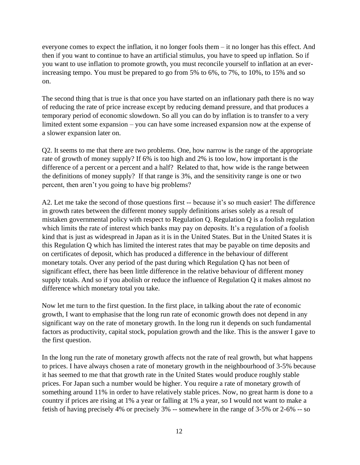everyone comes to expect the inflation, it no longer fools them – it no longer has this effect. And then if you want to continue to have an artificial stimulus, you have to speed up inflation. So if you want to use inflation to promote growth, you must reconcile yourself to inflation at an everincreasing tempo. You must be prepared to go from 5% to 6%, to 7%, to 10%, to 15% and so on.

The second thing that is true is that once you have started on an inflationary path there is no way of reducing the rate of price increase except by reducing demand pressure, and that produces a temporary period of economic slowdown. So all you can do by inflation is to transfer to a very limited extent some expansion – you can have some increased expansion now at the expense of a slower expansion later on.

Q2. It seems to me that there are two problems. One, how narrow is the range of the appropriate rate of growth of money supply? If 6% is too high and 2% is too low, how important is the difference of a percent or a percent and a half? Related to that, how wide is the range between the definitions of money supply? If that range is 3%, and the sensitivity range is one or two percent, then aren't you going to have big problems?

A2. Let me take the second of those questions first -- because it's so much easier! The difference in growth rates between the different money supply definitions arises solely as a result of mistaken governmental policy with respect to Regulation Q. Regulation Q is a foolish regulation which limits the rate of interest which banks may pay on deposits. It's a regulation of a foolish kind that is just as widespread in Japan as it is in the United States. But in the United States it is this Regulation Q which has limited the interest rates that may be payable on time deposits and on certificates of deposit, which has produced a difference in the behaviour of different monetary totals. Over any period of the past during which Regulation Q has not been of significant effect, there has been little difference in the relative behaviour of different money supply totals. And so if you abolish or reduce the influence of Regulation Q it makes almost no difference which monetary total you take.

Now let me turn to the first question. In the first place, in talking about the rate of economic growth, I want to emphasise that the long run rate of economic growth does not depend in any significant way on the rate of monetary growth. In the long run it depends on such fundamental factors as productivity, capital stock, population growth and the like. This is the answer I gave to the first question.

In the long run the rate of monetary growth affects not the rate of real growth, but what happens to prices. I have always chosen a rate of monetary growth in the neighbourhood of 3-5% because it has seemed to me that that growth rate in the United States would produce roughly stable prices. For Japan such a number would be higher. You require a rate of monetary growth of something around 11% in order to have relatively stable prices. Now, no great harm is done to a country if prices are rising at 1% a year or falling at 1% a year, so I would not want to make a fetish of having precisely 4% or precisely 3% -- somewhere in the range of 3-5% or 2-6% -- so